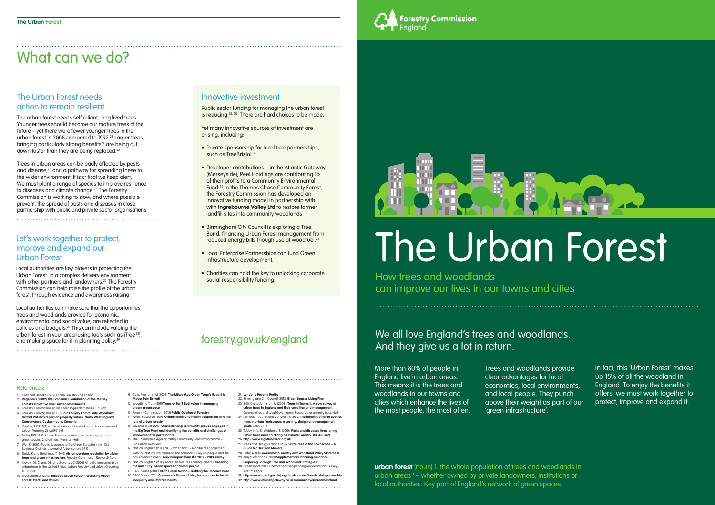More than 80% of people in England live in urban areas. This means it is the trees and woodlands in our towns and cities which enhance the lives of the most people, the most often.

## We all love England's trees and woodlands. And they give us a lot in return.

Trees and woodlands provide clear advantages for local economies, local environments, and local people. They punch above their weight as part of our 'green infrastructure'.

The urban forest needs self reliant, long lived trees. Younger trees should become our mature trees of the future – yet there were fewer younger trees in the urban forest in 2008 compared to 1992.<sup>23</sup> Larger trees, bringing particularly strong benefits<sup>24</sup> are being cut down faster than they are being replaced.<sup>23</sup>

> In fact, this 'Urban Forest' makes up 15% of all the woodland in England. To enjoy the benefits it offers, we must work together to protect, improve and expand it.

**urban forest** (noun) 1. the whole population of trees and woodlands in urban areas <sup>1</sup> – whether owned by private landowners, institutions or local authorities. Key part of England's network of green spaces.



# The Urban Forest

How trees and woodlands can improve our lives in our towns and cities

Public sector funding for managing the urban forest is reducing.<sup>23, 30</sup> There are hard choices to be made.

# What can we do?

#### The Urban Forest needs action to remain resilient

- Private sponsorship for local tree partnerships, such as TreeBristol.<sup>31</sup>
- Developer contributions in the Atlantic Gateway (Merseyside), Peel Holdings are contributing 1% of their profits to a Community Environmental Fund.32 In the Thames Chase Community Forest, the Forestry Commission has developed an innovative funding model in partnership with with **Ingrebourne Valley Ltd** to restore former landfill sites into community woodlands.
- Birmingham City Council is exploring a Tree Bond, financing Urban Forest management from reduced energy bills though use of woodfuel.<sup>22</sup>
- Local Enterprise Partnerships can fund Green Infrastructure development.
- Charities can hold the key to unlocking corporate social responsibility funding.

Trees in urban areas can be badly affected by pests and disease,25 and a pathway for spreading these to the wider environment. It is critical we keep alert. We must plant a range of species to improve resilience to diseases and climate change.26 The Forestry Commission is working to slow, and where possible prevent, the spread of pests and diseases in close partnership with public and private sector organisations.

#### Innovative investment

Yet many innovative sources of investment are arising, including:

- 22. Birmingham City Council (2013) **Green Spaces Living Plan** 23. Britt, C and Johnston, M (2008), **Trees in Towns II, A new survey of urban trees in England and their condition and management**.
- Communities and Local Government, Research for amenity trees No.9. 24. Armour, T, Job, M and Canavan, R (2012) **The benefits of large species trees in urban landscapes: a costing, design and management**
- **guide** CIRIA C712 25. Tubby, K. V. & Webber, J. F. (2010). **Pests and diseases threat urban trees under a changing climate Forestry 83: 451-459**
- 26. **http://www.righttrees4cc.org.uk** 27. Trees and Design Action Group (2012) **Trees in the Townscape – A**
- **Guide for Decision Makers** 28. Defra (2013) Government Forestry and Woodland Policy Statemer
- 29. Mayor of London (2013) **Supplementary Planning Guidance Preparing Borough Tree and Woodland Strategies**
- 30. Greenspace (2011) Comprehensive Spending Review Impact Survey Interim Report.
- 31. **http://www.bristol.gov.uk/page/environment/tree-bristol-sponsorship** 32. http://www.atlanticgateway.co.uk/communitvenvironment







#### References:

- 1. Grey and Deneke (1992) Urban Forestry 2nd edition 2. **Regeneris (2009) The Economic Contribution of the Mersey Forest's Objective One Funded Investments**.
- 3. Forestry Commission (2011), Chair's Speech at ReLEAF launch 4. Forestry Commission (2005) **Bold Colliery Community Woodland: District Valuer's report on property values. North West England**
- **Conservancy, Cockermouth, Cumbria**. 5. Kaplan, R (1993) The role of nature in the workplace. Landscape and Urban Planning 26 pp193-201
- 6. Miller, RW (1997) Urban Forestry: planning and managing urban greenspaces. 2nd edition. (Prentice-Hall)
- 7. Wolf K (2003) Public Response to the Urban Forest in Inner-City Business Districts. Journal of Arboriculture 29 (3)
- 8. Doick, K and Hutchings, T (2013) **Air temperature regulation by urban trees and green infrastructure**. Forestry Commission Research Note 9. Novak, DJ, Crane, DE, and Stevens, JC (2006) Air pollution removal by
- urban trees in the United States. Urban Forestry and Urban Greening 4: 115-123. 10. Treeconomics (2012) **Torbay's Urban Forest - Assessing Urban**
- **Forest Effects and Values**

11. Cole, Preston et al (2005) **The Milwaukee Green Team's Report to Mayor Tom Barrett** 

- 12. Woodland Trust (2011) **Trees or Turf? Best value in managing urban greenspace**
- 13. Forestry Commission (2013) **Public Opinion of Forestry**  14. Forest Research (2010) **Urban health and health inequalities and the**
- **role of urban forestry**<br>**15** Silvanus Trust (2013) Cha 15. Silvanus Trust (2013) **Characterising community groups engaged in the Big Tree Plant and identifying the benefits and challenges of involvement for participants**.
- 16. The Countryside Agency (2003) Community Forest Programme Evaluation overview
- 17. Natural England (2013) NECR122 edition 1 Monitor of Engagement with the Natural Environment: The national survey on people and the natural environment: **Annual report from the 2012 - 2013 survey**  18. Natural England (2013) Access to Nature Learning Papers - **Greening**
- **the Inner City: Green spaces and local people**. 19. CABE Space (2010) **Urban Green Nation – Building the Evidence Base**
- 20. CABE Space (2011) **Community Green Using local spaces to tackle inequality and improve health**.

#### 21. **London's Poverty Profile**

## forestry.gov.uk/england

#### Let's work together to protect, improve and expand our Urban Forest

Local authorities are key players in protecting the Urban Forest, in a complex delivery environment with other partners and landowners.<sup>23</sup> The Forestry Commission can help raise the profile of the urban forest, through evidence and awareness raising.

Local authorities can make sure that the opportunities trees and woodlands provide for economic, environmental and social value, are reflected in policies and budgets.27 This can include valuing the urban forest in your area (using tools such as iTree 28), and making space for it in planning policy.29